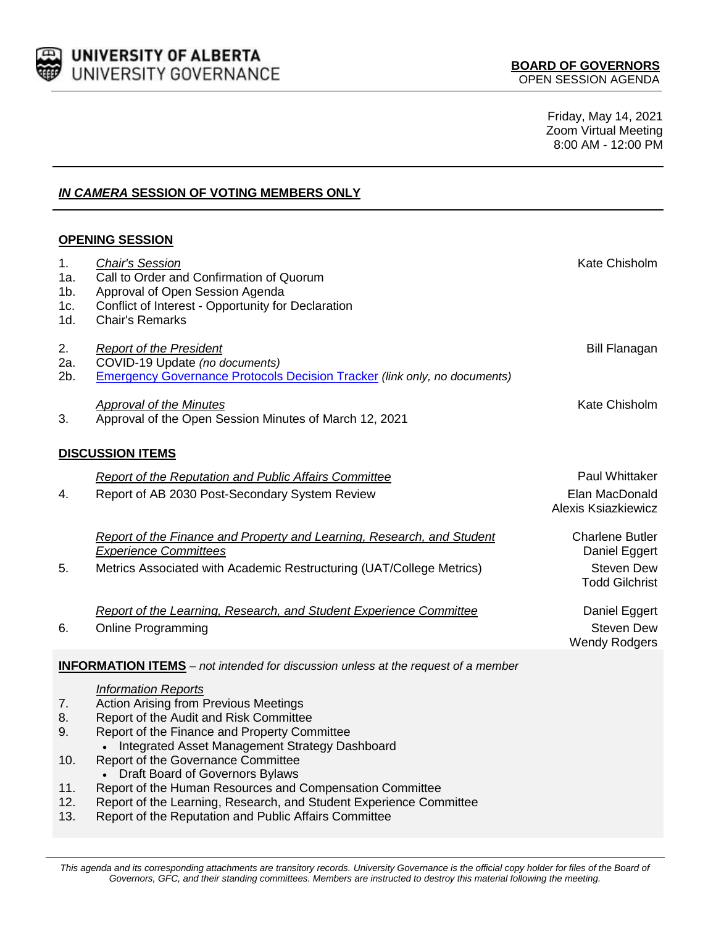

Friday, May 14, 2021 Zoom Virtual Meeting 8:00 AM - 12:00 PM

# *IN CAMERA* **SESSION OF VOTING MEMBERS ONLY**

# **OPENING SESSION**

| 1.<br>1a.<br>$1b$ .<br>1c.<br>1d.                                                                                      | <b>Chair's Session</b><br>Call to Order and Confirmation of Quorum<br>Approval of Open Session Agenda<br>Conflict of Interest - Opportunity for Declaration<br>Chair's Remarks | Kate Chisholm                                                                         |  |
|------------------------------------------------------------------------------------------------------------------------|--------------------------------------------------------------------------------------------------------------------------------------------------------------------------------|---------------------------------------------------------------------------------------|--|
| 2.<br>2a.<br>$2b$ .                                                                                                    | <b>Report of the President</b><br>COVID-19 Update (no documents)<br><b>Emergency Governance Protocols Decision Tracker (link only, no documents)</b>                           | <b>Bill Flanagan</b>                                                                  |  |
| 3.                                                                                                                     | <b>Approval of the Minutes</b><br>Approval of the Open Session Minutes of March 12, 2021                                                                                       | Kate Chisholm                                                                         |  |
| <b>DISCUSSION ITEMS</b>                                                                                                |                                                                                                                                                                                |                                                                                       |  |
| 4.                                                                                                                     | <b>Report of the Reputation and Public Affairs Committee</b><br>Report of AB 2030 Post-Secondary System Review                                                                 | Paul Whittaker<br>Elan MacDonald<br>Alexis Ksiazkiewicz                               |  |
| 5.                                                                                                                     | Report of the Finance and Property and Learning, Research, and Student<br><b>Experience Committees</b><br>Metrics Associated with Academic Restructuring (UAT/College Metrics) | <b>Charlene Butler</b><br>Daniel Eggert<br><b>Steven Dew</b><br><b>Todd Gilchrist</b> |  |
| 6.                                                                                                                     | Report of the Learning, Research, and Student Experience Committee<br><b>Online Programming</b>                                                                                | Daniel Eggert<br><b>Steven Dew</b><br><b>Wendy Rodgers</b>                            |  |
| <b>INFORMATION ITEMS</b> – not intended for discussion unless at the request of a member<br><b>Information Reports</b> |                                                                                                                                                                                |                                                                                       |  |

- 7. Action Arising from Previous Meetings
- 8. Report of the Audit and Risk Committee
- 9. Report of the Finance and Property Committee
	- Integrated Asset Management Strategy Dashboard
- 10. Report of the Governance Committee
	- Draft Board of Governors Bylaws
- 11. Report of the Human Resources and Compensation Committee
- 12. Report of the Learning, Research, and Student Experience Committee
- 13. Report of the Reputation and Public Affairs Committee

This agenda and its corresponding attachments are transitory records. University Governance is the official copy holder for files of the Board of *Governors, GFC, and their standing committees. Members are instructed to destroy this material following the meeting.*